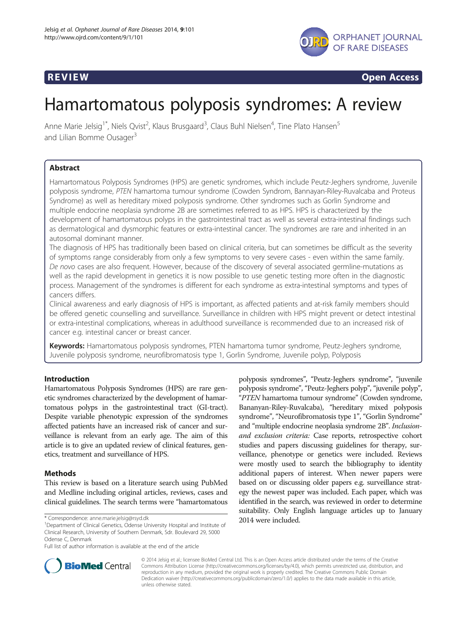



**REVIEW CONSIDERING CONSIDERING CONSIDERING CONSIDERING CONSIDERING CONSIDERING CONSIDERING CONSIDERING CONSIDERING CONSIDERING CONSIDERING CONSIDERING CONSIDERING CONSIDERING CONSIDERING CONSIDERING CONSIDERING CONSIDER** 

# Hamartomatous polyposis syndromes: A review

Anne Marie Jelsig<sup>1\*</sup>, Niels Qvist<sup>2</sup>, Klaus Brusgaard<sup>3</sup>, Claus Buhl Nielsen<sup>4</sup>, Tine Plato Hansen<sup>5</sup> and Lilian Bomme Ousager<sup>3</sup>

# Abstract

Hamartomatous Polyposis Syndromes (HPS) are genetic syndromes, which include Peutz-Jeghers syndrome, Juvenile polyposis syndrome, PTEN hamartoma tumour syndrome (Cowden Syndrom, Bannayan-Riley-Ruvalcaba and Proteus Syndrome) as well as hereditary mixed polyposis syndrome. Other syndromes such as Gorlin Syndrome and multiple endocrine neoplasia syndrome 2B are sometimes referred to as HPS. HPS is characterized by the development of hamartomatous polyps in the gastrointestinal tract as well as several extra-intestinal findings such as dermatological and dysmorphic features or extra-intestinal cancer. The syndromes are rare and inherited in an autosomal dominant manner.

The diagnosis of HPS has traditionally been based on clinical criteria, but can sometimes be difficult as the severity of symptoms range considerably from only a few symptoms to very severe cases - even within the same family. De novo cases are also frequent. However, because of the discovery of several associated germline-mutations as well as the rapid development in genetics it is now possible to use genetic testing more often in the diagnostic process. Management of the syndromes is different for each syndrome as extra-intestinal symptoms and types of cancers differs.

Clinical awareness and early diagnosis of HPS is important, as affected patients and at-risk family members should be offered genetic counselling and surveillance. Surveillance in children with HPS might prevent or detect intestinal or extra-intestinal complications, whereas in adulthood surveillance is recommended due to an increased risk of cancer e.g. intestinal cancer or breast cancer.

Keywords: Hamartomatous polyposis syndromes, PTEN hamartoma tumor syndrome, Peutz-Jeghers syndrome, Juvenile polyposis syndrome, neurofibromatosis type 1, Gorlin Syndrome, Juvenile polyp, Polyposis

# Introduction

Hamartomatous Polyposis Syndromes (HPS) are rare genetic syndromes characterized by the development of hamartomatous polyps in the gastrointestinal tract (GI-tract). Despite variable phenotypic expression of the syndromes affected patients have an increased risk of cancer and surveillance is relevant from an early age. The aim of this article is to give an updated review of clinical features, genetics, treatment and surveillance of HPS.

# Methods

This review is based on a literature search using PubMed and Medline including original articles, reviews, cases and clinical guidelines. The search terms were "hamartomatous

polyposis syndromes", "Peutz-Jeghers syndrome", "juvenile polyposis syndrome", "Peutz-Jeghers polyp", "juvenile polyp", "PTEN hamartoma tumour syndrome" (Cowden syndrome, Bananyan-Riley-Ruvalcaba), "hereditary mixed polyposis syndrome", "Neurofibromatosis type 1", "Gorlin Syndrome" and "multiple endocrine neoplasia syndrome 2B". Inclusionand exclusion criteria: Case reports, retrospective cohort studies and papers discussing guidelines for therapy, surveillance, phenotype or genetics were included. Reviews were mostly used to search the bibliography to identity additional papers of interest. When newer papers were based on or discussing older papers e.g. surveillance strategy the newest paper was included. Each paper, which was identified in the search, was reviewed in order to determine suitability. Only English language articles up to January



© 2014 Jelsig et al.; licensee BioMed Central Ltd. This is an Open Access article distributed under the terms of the Creative Commons Attribution License [\(http://creativecommons.org/licenses/by/4.0\)](http://creativecommons.org/licenses/by/4.0), which permits unrestricted use, distribution, and reproduction in any medium, provided the original work is properly credited. The Creative Commons Public Domain Dedication waiver [\(http://creativecommons.org/publicdomain/zero/1.0/](http://creativecommons.org/publicdomain/zero/1.0/)) applies to the data made available in this article, unless otherwise stated.

<sup>2014</sup> were included. \* Correspondence: [anne.marie.jelsig@rsyd.dk](mailto:anne.marie.jelsig@rsyd.dk) <sup>1</sup> Department of Clinical Genetics, Odense University Hospital and Institute of Clinical Research, University of Southern Denmark, Sdr. Boulevard 29, 5000 Odense C, Denmark

Full list of author information is available at the end of the article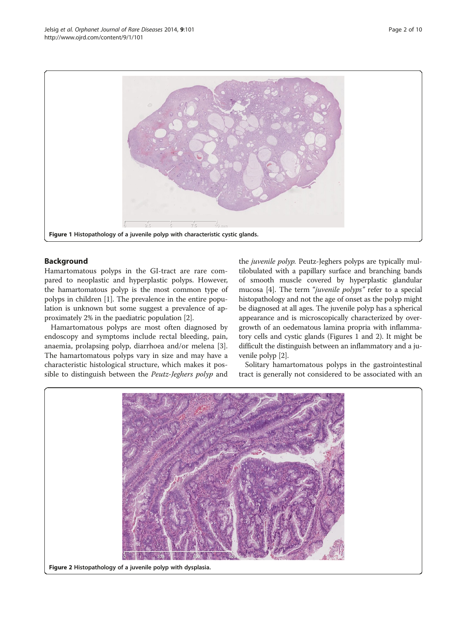

# Background

Hamartomatous polyps in the GI-tract are rare compared to neoplastic and hyperplastic polyps. However, the hamartomatous polyp is the most common type of polyps in children [[1](#page-7-0)]. The prevalence in the entire population is unknown but some suggest a prevalence of approximately 2% in the paediatric population [\[2](#page-7-0)].

Hamartomatous polyps are most often diagnosed by endoscopy and symptoms include rectal bleeding, pain, anaemia, prolapsing polyp, diarrhoea and/or melena [\[3](#page-7-0)]. The hamartomatous polyps vary in size and may have a characteristic histological structure, which makes it possible to distinguish between the Peutz-Jeghers polyp and

the *juvenile polyp*. Peutz-Jeghers polyps are typically multilobulated with a papillary surface and branching bands of smooth muscle covered by hyperplastic glandular mucosa [\[4](#page-7-0)]. The term "*juvenile polyps*" refer to a special histopathology and not the age of onset as the polyp might be diagnosed at all ages. The juvenile polyp has a spherical appearance and is microscopically characterized by overgrowth of an oedematous lamina propria with inflammatory cells and cystic glands (Figures 1 and 2). It might be difficult the distinguish between an inflammatory and a juvenile polyp [\[2](#page-7-0)].

Solitary hamartomatous polyps in the gastrointestinal tract is generally not considered to be associated with an

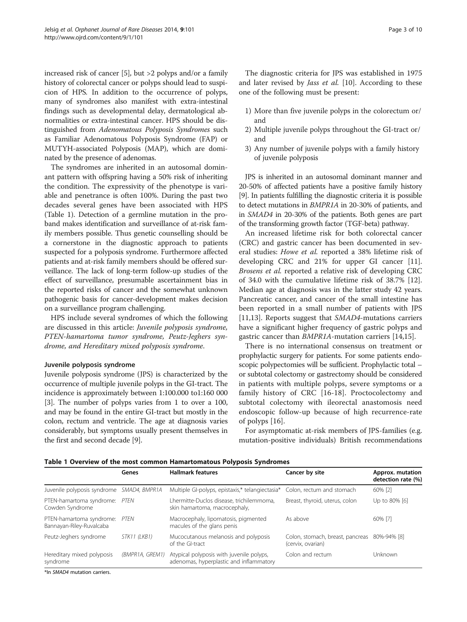increased risk of cancer [[5\]](#page-7-0), but >2 polyps and/or a family history of colorectal cancer or polyps should lead to suspicion of HPS. In addition to the occurrence of polyps, many of syndromes also manifest with extra-intestinal findings such as developmental delay, dermatological abnormalities or extra-intestinal cancer. HPS should be distinguished from Adenomatous Polyposis Syndromes such as Familiar Adenomatous Polyposis Syndrome (FAP) or MUTYH-associated Polyposis (MAP), which are dominated by the presence of adenomas.

The syndromes are inherited in an autosomal dominant pattern with offspring having a 50% risk of inheriting the condition. The expressivity of the phenotype is variable and penetrance is often 100%. During the past two decades several genes have been associated with HPS (Table 1). Detection of a germline mutation in the proband makes identification and surveillance of at-risk family members possible. Thus genetic counselling should be a cornerstone in the diagnostic approach to patients suspected for a polyposis syndrome. Furthermore affected patients and at-risk family members should be offered surveillance. The lack of long-term follow-up studies of the effect of surveillance, presumable ascertainment bias in the reported risks of cancer and the somewhat unknown pathogenic basis for cancer-development makes decision on a surveillance program challenging.

HPS include several syndromes of which the following are discussed in this article: Juvenile polyposis syndrome, PTEN-hamartoma tumor syndrome, Peutz-Jeghers syndrome, and Hereditary mixed polyposis syndrome.

#### Juvenile polyposis syndrome

Juvenile polyposis syndrome (JPS) is characterized by the occurrence of multiple juvenile polyps in the GI-tract. The incidence is approximately between 1:100.000 to1:160 000 [[3\]](#page-7-0). The number of polyps varies from 1 to over a 100, and may be found in the entire GI-tract but mostly in the colon, rectum and ventricle. The age at diagnosis varies considerably, but symptoms usually present themselves in the first and second decade [\[9](#page-8-0)].

The diagnostic criteria for JPS was established in 1975 and later revised by *Jass et al.* [[10\]](#page-8-0). According to these one of the following must be present:

- 1) More than five juvenile polyps in the colorectum or/ and
- 2) Multiple juvenile polyps throughout the GI-tract or/ and
- 3) Any number of juvenile polyps with a family history of juvenile polyposis

JPS is inherited in an autosomal dominant manner and 20-50% of affected patients have a positive family history [[9](#page-8-0)]. In patients fulfilling the diagnostic criteria it is possible to detect mutations in BMPR1A in 20-30% of patients, and in SMAD4 in 20-30% of the patients. Both genes are part of the transforming growth factor (TGF-beta) pathway.

An increased lifetime risk for both colorectal cancer (CRC) and gastric cancer has been documented in several studies: Howe et al. reported a 38% lifetime risk of developing CRC and 21% for upper GI cancer [\[11](#page-8-0)]. Brosens et al. reported a relative risk of developing CRC of 34.0 with the cumulative lifetime risk of 38.7% [\[12](#page-8-0)]. Median age at diagnosis was in the latter study 42 years. Pancreatic cancer, and cancer of the small intestine has been reported in a small number of patients with JPS [[11,13\]](#page-8-0). Reports suggest that SMAD4-mutations carriers have a significant higher frequency of gastric polyps and gastric cancer than BMPR1A-mutation carriers [[14](#page-8-0),[15](#page-8-0)].

There is no international consensus on treatment or prophylactic surgery for patients. For some patients endoscopic polypectomies will be sufficient. Prophylactic total – or subtotal colectomy or gastrectomy should be considered in patients with multiple polyps, severe symptoms or a family history of CRC [[16-18](#page-8-0)]. Proctocolectomy and subtotal colectomy with ileorectal anastomosis need endoscopic follow-up because of high recurrence-rate of polyps [\[16](#page-8-0)].

For asymptomatic at-risk members of JPS-families (e.g. mutation-positive individuals) British recommendations

|  |  |  |  | Table 1 Overview of the most common Hamartomatous Polyposis Syndromes |  |  |
|--|--|--|--|-----------------------------------------------------------------------|--|--|
|--|--|--|--|-----------------------------------------------------------------------|--|--|

|                                                      | Genes           | <b>Hallmark features</b>                                                            | Cancer by site                                        | Approx. mutation<br>detection rate (%) |
|------------------------------------------------------|-----------------|-------------------------------------------------------------------------------------|-------------------------------------------------------|----------------------------------------|
| Juvenile polyposis syndrome SMAD4, BMPR1A            |                 | Multiple GI-polyps, epistaxis,* telangiectasia*                                     | Colon, rectum and stomach                             | 60% [2]                                |
| PTEN-hamartoma syndrome: PTEN<br>Cowden Syndrome     |                 | Lhermitte-Duclos disease, trichilemmoma,<br>skin hamartoma, macrocephaly,           | Breast, thyroid, uterus, colon                        | Up to 80% [6]                          |
| PTEN-hamartoma syndrome:<br>Bannayan-Riley-Ruvalcaba | PTFN            | Macrocephaly, lipomatosis, pigmented<br>macules of the glans penis                  | As above                                              | 60% [7]                                |
| Peutz-Jeghers syndrome                               | STK11 (LKB1)    | Mucocutanous melanosis and polyposis<br>of the GI-tract                             | Colon, stomach, breast, pancreas<br>(cervix, ovarian) | 80%-94% [8]                            |
| Hereditary mixed polyposis<br>syndrome               | (BMPR1A, GREM1) | Atypical polyposis with juvenile polyps,<br>adenomas, hyperplastic and inflammatory | Colon and rectum                                      | Unknown                                |

\*In SMAD4 mutation carriers.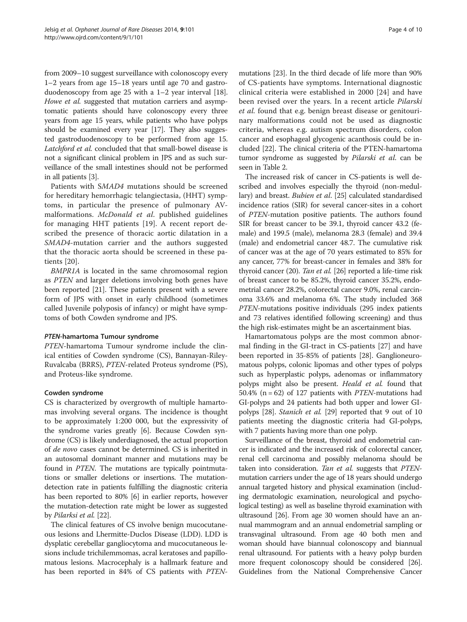from 2009–10 suggest surveillance with colonoscopy every 1–2 years from age 15–18 years until age 70 and gastroduodenoscopy from age 25 with a 1–2 year interval [[18](#page-8-0)]. Howe et al. suggested that mutation carriers and asymptomatic patients should have colonoscopy every three years from age 15 years, while patients who have polyps should be examined every year [\[17\]](#page-8-0). They also suggested gastroduodenoscopy to be performed from age 15. Latchford et al. concluded that that small-bowel disease is not a significant clinical problem in JPS and as such surveillance of the small intestines should not be performed in all patients [\[3](#page-7-0)].

Patients with SMAD4 mutations should be screened for hereditary hemorrhagic telangiectasia, (HHT) symptoms, in particular the presence of pulmonary AVmalformations. McDonald et al. published guidelines for managing HHT patients [[19](#page-8-0)]. A recent report described the presence of thoracic aortic dilatation in a SMAD4-mutation carrier and the authors suggested that the thoracic aorta should be screened in these patients [[20\]](#page-8-0).

BMPR1A is located in the same chromosomal region as PTEN and larger deletions involving both genes have been reported [[21\]](#page-8-0). These patients present with a severe form of JPS with onset in early childhood (sometimes called Juvenile polyposis of infancy) or might have symptoms of both Cowden syndrome and JPS.

# PTEN-hamartoma Tumour syndrome

PTEN-hamartoma Tumour syndrome include the clinical entities of Cowden syndrome (CS), Bannayan-Riley-Ruvalcaba (BRRS), PTEN-related Proteus syndrome (PS), and Proteus-like syndrome.

# Cowden syndrome

CS is characterized by overgrowth of multiple hamartomas involving several organs. The incidence is thought to be approximately 1:200 000, but the expressivity of the syndrome varies greatly [[6](#page-7-0)]. Because Cowden syndrome (CS) is likely underdiagnosed, the actual proportion of de novo cases cannot be determined. CS is inherited in an autosomal dominant manner and mutations may be found in PTEN. The mutations are typically pointmutations or smaller deletions or insertions. The mutationdetection rate in patients fulfilling the diagnostic criteria has been reported to 80% [\[6\]](#page-7-0) in earlier reports, however the mutation-detection rate might be lower as suggested by Pilarksi et al. [[22](#page-8-0)].

The clinical features of CS involve benign mucocutaneous lesions and Lhermitte-Duclos Disease (LDD). LDD is dysplatic cerebellar gangliocytoma and mucocutaneous lesions include trichilemmomas, acral keratoses and papillomatous lesions. Macrocephaly is a hallmark feature and has been reported in 84% of CS patients with PTEN-

mutations [\[23\]](#page-8-0). In the third decade of life more than 90% of CS-patients have symptoms. International diagnostic clinical criteria were established in 2000 [[24\]](#page-8-0) and have been revised over the years. In a recent article Pilarski et al. found that e.g. benign breast disease or genitourinary malformations could not be used as diagnostic criteria, whereas e.g. autism spectrum disorders, colon cancer and esophageal glycogenic acanthosis could be included [[22](#page-8-0)]. The clinical criteria of the PTEN-hamartoma tumor syndrome as suggested by Pilarski et al. can be seen in Table [2.](#page-4-0)

The increased risk of cancer in CS-patients is well described and involves especially the thyroid (non-medullary) and breast. Bubien et al. [[25](#page-8-0)] calculated standardised incidence ratios (SIR) for several cancer-sites in a cohort of PTEN-mutation positive patients. The authors found SIR for breast cancer to be 39.1, thyroid cancer 43.2 (female) and 199.5 (male), melanoma 28.3 (female) and 39.4 (male) and endometrial cancer 48.7. The cumulative risk of cancer was at the age of 70 years estimated to 85% for any cancer, 77% for breast-cancer in females and 38% for thyroid cancer (20). Tan et al. [[26\]](#page-8-0) reported a life-time risk of breast cancer to be 85.2%, thyroid cancer 35.2%, endometrial cancer 28.2%, colorectal cancer 9.0%, renal carcinoma 33.6% and melanoma 6%. The study included 368 PTEN-mutations positive individuals (295 index patients and 73 relatives identified following screening) and thus the high risk-estimates might be an ascertainment bias.

Hamartomatous polyps are the most common abnormal finding in the GI-tract in CS-patients [\[27](#page-8-0)] and have been reported in 35-85% of patients [\[28](#page-8-0)]. Ganglioneuromatous polyps, colonic lipomas and other types of polyps such as hyperplastic polyps, adenomas or inflammatory polyps might also be present. Heald et al. found that 50.4% ( $n = 62$ ) of 127 patients with *PTEN*-mutations had GI-polyps and 24 patients had both upper and lower GIpolyps [\[28](#page-8-0)]. Stanich et al. [\[29](#page-8-0)] reported that 9 out of 10 patients meeting the diagnostic criteria had GI-polyps, with 7 patients having more than one polyp.

Surveillance of the breast, thyroid and endometrial cancer is indicated and the increased risk of colorectal cancer, renal cell carcinoma and possibly melanoma should be taken into consideration. Tan et al. suggests that PTENmutation carriers under the age of 18 years should undergo annual targeted history and physical examination (including dermatologic examination, neurological and psychological testing) as well as baseline thyroid examination with ultrasound [\[26\]](#page-8-0). From age 30 women should have an annual mammogram and an annual endometrial sampling or transvaginal ultrasound. From age 40 both men and woman should have biannual colonoscopy and biannual renal ultrasound. For patients with a heavy polyp burden more frequent colonoscopy should be considered [\[26](#page-8-0)]. Guidelines from the National Comprehensive Cancer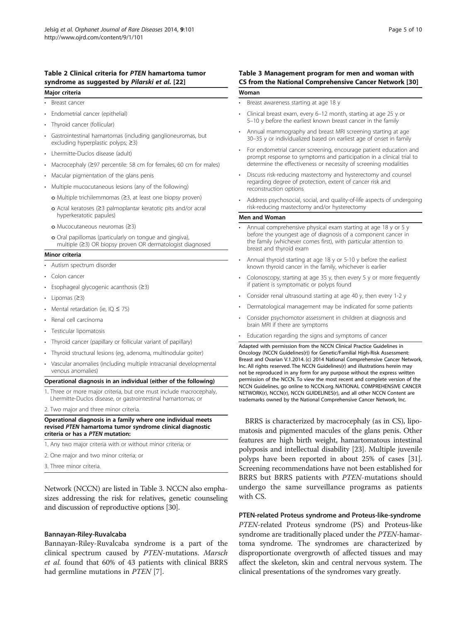# <span id="page-4-0"></span>Table 2 Clinical criteria for PTEN hamartoma tumor syndrome as suggested by Pilarski et al. [[22\]](#page-8-0)

#### Major criteria

- Breast cancer
- Endometrial cancer (epithelial)
- Thyroid cancer (follicular)
- Gastrointestinal hamartomas (including ganglioneuromas, but excluding hyperplastic polyps; ≥3)
- Lhermitte-Duclos disease (adult)
- Macrocephaly (≥97 percentile: 58 cm for females, 60 cm for males)
- Macular pigmentation of the glans penis
- Multiple mucocutaneous lesions (any of the following)
	- o Multiple trichilemmomas (≥3, at least one biopsy proven)
	- o Acral keratoses (≥3 palmoplantar keratotic pits and/or acral hyperkeratotic papules)
	- o Mucocutaneous neuromas (≥3)
	- o Oral papillomas (particularly on tongue and gingiva), multiple (≥3) OR biopsy proven OR dermatologist diagnosed

#### Minor criteria

- Autism spectrum disorder
- Colon cancer
- Esophageal glycogenic acanthosis (≥3)
- Lipomas (≥3)
- Mental retardation (ie, IQ ≤ 75)
- Renal cell carcinoma
- Testicular lipomatosis
- Thyroid cancer (papillary or follicular variant of papillary)
- Thyroid structural lesions (eg, adenoma, multinodular goiter)
- Vascular anomalies (including multiple intracranial developmental venous anomalies)

#### Operational diagnosis in an individual (either of the following)

- 1. Three or more major criteria, but one must include macrocephaly, Lhermitte-Duclos disease, or gastrointestinal hamartomas; or
- 2. Two major and three minor criteria.

#### Operational diagnosis in a family where one individual meets revised PTEN hamartoma tumor syndrome clinical diagnostic criteria or has a PTEN mutation:

- 1. Any two major criteria with or without minor criteria; or
- 2. One major and two minor criteria; or
- 3. Three minor criteria.

Network (NCCN) are listed in Table 3. NCCN also emphasizes addressing the risk for relatives, genetic counseling and discussion of reproductive options [[30](#page-8-0)].

# Bannayan-Riley-Ruvalcaba

Bannayan-Riley-Ruvalcaba syndrome is a part of the clinical spectrum caused by PTEN-mutations. Marsch et al. found that 60% of 43 patients with clinical BRRS had germline mutations in PTEN [[7\]](#page-7-0).

# Table 3 Management program for men and woman with CS from the National Comprehensive Cancer Network [\[30\]](#page-8-0) Woman

- Breast awareness starting at age 18 y
- Clinical breast exam, every 6–12 month, starting at age 25 y or 5–10 y before the earliest known breast cancer in the family
- Annual mammography and breast MRI screening starting at age 30–35 y or individualized based on earliest age of onset in family
- For endometrial cancer screening, encourage patient education and prompt response to symptoms and participation in a clinical trial to determine the effectiveness or necessity of screening modalities
- Discuss risk-reducing mastectomy and hysterectomy and counsel regarding degree of protection, extent of cancer risk and reconstruction options
- Address psychosocial, social, and quality-of-life aspects of undergoing risk-reducing mastectomy and/or hysterectomy

#### Men and Woman

- Annual comprehensive physical exam starting at age 18 y or 5 y before the youngest age of diagnosis of a component cancer in the family (whichever comes first), with particular attention to breast and thyroid exam
- Annual thyroid starting at age 18 y or 5-10 y before the earliest known thyroid cancer in the family, whichever is earlier
- Colonoscopy, starting at age 35 y, then every 5 y or more frequently if patient is symptomatic or polyps found
- Consider renal ultrasound starting at age 40 y, then every 1-2 y
- Dermatological management may be indicated for some patients
- Consider psychomotor assessment in children at diagnosis and brain MRI if there are symptoms

Adapted with permission from the NCCN Clinical Practice Guidelines in Oncology (NCCN Guidelines(r)) for Genetic/Familial High-Risk Assessment: Breast and Ovarian V.1.2014. (c) 2014 National Comprehensive Cancer Network, Inc. All rights reserved. The NCCN Guidelines(r) and illustrations herein may not be reproduced in any form for any purpose without the express written permission of the NCCN. To view the most recent and complete version of the NCCN Guidelines, go online to NCCN.org. NATIONAL COMPREHENSIVE CANCER NETWORK(r), NCCN(r), NCCN GUIDELINES(r), and all other NCCN Content are trademarks owned by the National Comprehensive Cancer Network, Inc.

BRRS is characterized by macrocephaly (as in CS), lipomatosis and pigmented macules of the glans penis. Other features are high birth weight, hamartomatous intestinal polyposis and intellectual disability [\[23\]](#page-8-0). Multiple juvenile polyps have been reported in about 25% of cases [[31](#page-8-0)]. Screening recommendations have not been established for BRRS but BRRS patients with PTEN-mutations should undergo the same surveillance programs as patients with CS.

PTEN-related Proteus syndrome and Proteus-like-syndrome PTEN-related Proteus syndrome (PS) and Proteus-like syndrome are traditionally placed under the *PTEN*-hamartoma syndrome. The syndromes are characterized by disproportionate overgrowth of affected tissues and may affect the skeleton, skin and central nervous system. The clinical presentations of the syndromes vary greatly.

<sup>•</sup> Education regarding the signs and symptoms of cancer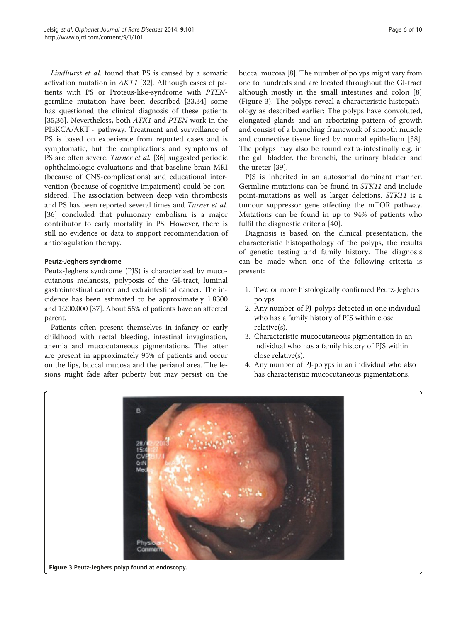Lindhurst et al. found that PS is caused by a somatic activation mutation in AKT1 [[32\]](#page-8-0). Although cases of patients with PS or Proteus-like-syndrome with PTENgermline mutation have been described [\[33,34](#page-8-0)] some has questioned the clinical diagnosis of these patients [[35,36\]](#page-8-0). Nevertheless, both *ATK1* and *PTEN* work in the PI3KCA/AKT - pathway. Treatment and surveillance of PS is based on experience from reported cases and is symptomatic, but the complications and symptoms of PS are often severe. Turner et al. [[36\]](#page-8-0) suggested periodic ophthalmologic evaluations and that baseline-brain MRI (because of CNS-complications) and educational intervention (because of cognitive impairment) could be considered. The association between deep vein thrombosis and PS has been reported several times and Turner et al. [[36\]](#page-8-0) concluded that pulmonary embolism is a major contributor to early mortality in PS. However, there is still no evidence or data to support recommendation of anticoagulation therapy.

# Peutz-Jeghers syndrome

Peutz-Jeghers syndrome (PJS) is characterized by mucocutanous melanosis, polyposis of the GI-tract, luminal gastrointestinal cancer and extraintestinal cancer. The incidence has been estimated to be approximately 1:8300 and 1:200.000 [[37](#page-8-0)]. About 55% of patients have an affected parent.

Patients often present themselves in infancy or early childhood with rectal bleeding, intestinal invagination, anemia and mucocutaneous pigmentations. The latter are present in approximately 95% of patients and occur on the lips, buccal mucosa and the perianal area. The lesions might fade after puberty but may persist on the buccal mucosa [\[8](#page-7-0)]. The number of polyps might vary from one to hundreds and are located throughout the GI-tract although mostly in the small intestines and colon [\[8](#page-7-0)] (Figure 3). The polyps reveal a characteristic histopathology as described earlier: The polyps have convoluted, elongated glands and an arborizing pattern of growth and consist of a branching framework of smooth muscle and connective tissue lined by normal epithelium [\[38](#page-8-0)]. The polyps may also be found extra-intestinally e.g. in the gall bladder, the bronchi, the urinary bladder and the ureter [[39\]](#page-8-0).

PJS is inherited in an autosomal dominant manner. Germline mutations can be found in STK11 and include point-mutations as well as larger deletions. STK11 is a tumour suppressor gene affecting the mTOR pathway. Mutations can be found in up to 94% of patients who fulfil the diagnostic criteria [\[40](#page-8-0)].

Diagnosis is based on the clinical presentation, the characteristic histopathology of the polyps, the results of genetic testing and family history. The diagnosis can be made when one of the following criteria is present:

- 1. Two or more histologically confirmed Peutz-Jeghers polyps
- 2. Any number of PJ-polyps detected in one individual who has a family history of PJS within close relative(s).
- 3. Characteristic mucocutaneous pigmentation in an individual who has a family history of PJS within close relative(s).
- 4. Any number of PJ-polyps in an individual who also has characteristic mucocutaneous pigmentations.



Figure 3 Peutz-Jeghers polyp found at endoscopy.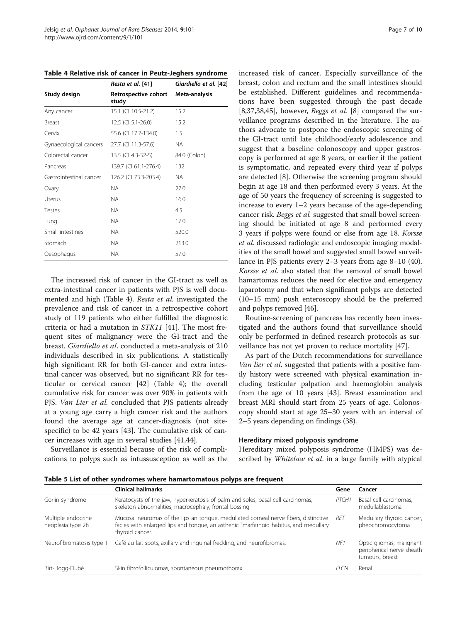<span id="page-6-0"></span>Table 4 Relative risk of cancer in Peutz-Jeghers syndrome

|                         | Resta et al. [41]             | Giardiello et al. [42] |  |
|-------------------------|-------------------------------|------------------------|--|
| Study design            | Retrospective cohort<br>study | Meta-analysis          |  |
| Any cancer              | 15.1 (CI 10.5-21.2)           | 15.2                   |  |
| <b>Breast</b>           | 12.5 (CI 5.1-26.0)            | 15.2                   |  |
| Cervix                  | 55.6 (CI 17.7-134.0)          | 1.5                    |  |
| Gynaecological cancers  | 27.7 (CI 11.3-57.6)           | NA.                    |  |
| Colorectal cancer       | 13.5 (CI 4.3-32-5)            | 84.0 (Colon)           |  |
| Pancreas                | 139.7 (CI 61.1-276.4)         | 132                    |  |
| Gastrointestinal cancer | 126.2 (CI 73.3-203.4)         | NA.                    |  |
| Ovary                   | NA.                           | 27.0                   |  |
| Uterus                  | NA.                           | 16.0                   |  |
| Testes                  | <b>NA</b>                     | 4.5                    |  |
| Lung                    | NA.                           | 17.0                   |  |
| Small intestines        | NA.                           | 520.0                  |  |
| Stomach                 | NA.                           | 213.0                  |  |
| Oesophagus              | NA.                           | 57.0                   |  |

The increased risk of cancer in the GI-tract as well as extra-intestinal cancer in patients with PJS is well documented and high (Table 4). Resta et al. investigated the prevalence and risk of cancer in a retrospective cohort study of 119 patients who either fulfilled the diagnostic criteria or had a mutation in STK11 [[41\]](#page-8-0). The most frequent sites of malignancy were the GI-tract and the breast. Giardiello et al. conducted a meta-analysis of 210 individuals described in six publications. A statistically high significant RR for both GI-cancer and extra intestinal cancer was observed, but no significant RR for testicular or cervical cancer [\[42](#page-8-0)] (Table 4); the overall cumulative risk for cancer was over 90% in patients with PJS. Van Lier et al. concluded that PJS patients already at a young age carry a high cancer risk and the authors found the average age at cancer-diagnosis (not sitespecific) to be 42 years [[43](#page-8-0)]. The cumulative risk of cancer increases with age in several studies [\[41,44\]](#page-8-0).

Surveillance is essential because of the risk of complications to polyps such as intussusception as well as the increased risk of cancer. Especially surveillance of the breast, colon and rectum and the small intestines should be established. Different guidelines and recommendations have been suggested through the past decade [[8,](#page-7-0)[37,38,45\]](#page-8-0), however, *Beggs et al.* [\[8](#page-7-0)] compared the surveillance programs described in the literature. The authors advocate to postpone the endoscopic screening of the GI-tract until late childhood/early adolescence and suggest that a baseline colonoscopy and upper gastroscopy is performed at age 8 years, or earlier if the patient is symptomatic, and repeated every third year if polyps are detected [\[8\]](#page-7-0). Otherwise the screening program should begin at age 18 and then performed every 3 years. At the age of 50 years the frequency of screening is suggested to increase to every 1–2 years because of the age-depending cancer risk. Beggs et al. suggested that small bowel screening should be initiated at age 8 and performed every 3 years if polyps were found or else from age 18. Korsse et al. discussed radiologic and endoscopic imaging modalities of the small bowel and suggested small bowel surveillance in PJS patients every 2–3 years from age 8–10 (40). Korsse et al. also stated that the removal of small bowel hamartomas reduces the need for elective and emergency laparotomy and that when significant polyps are detected (10–15 mm) push enteroscopy should be the preferred and polyps removed [\[46\]](#page-8-0).

Routine-screening of pancreas has recently been investigated and the authors found that surveillance should only be performed in defined research protocols as surveillance has not yet proven to reduce mortality [\[47\]](#page-8-0).

As part of the Dutch recommendations for surveillance Van lier et al. suggested that patients with a positive family history were screened with physical examination including testicular palpation and haemoglobin analysis from the age of 10 years [\[43\]](#page-8-0). Breast examination and breast MRI should start from 25 years of age. Colonoscopy should start at age 25–30 years with an interval of 2–5 years depending on findings (38).

#### Hereditary mixed polyposis syndrome

Hereditary mixed polyposis syndrome (HMPS) was described by *Whitelaw et al.* in a large family with atypical

Table 5 List of other syndromes where hamartomatous polyps are frequent

|                                         | <b>Clinical hallmarks</b>                                                                                                                                                                       | Gene  | Cancer                                                                   |
|-----------------------------------------|-------------------------------------------------------------------------------------------------------------------------------------------------------------------------------------------------|-------|--------------------------------------------------------------------------|
| Gorlin syndrome                         | Keratocysts of the jaw, hyperkeratosis of palm and soles, basal cell carcinomas,<br>skeleton abnormalities, macrocephaly, frontal bossing                                                       | PTCH1 | Basal cell carcinomas,<br>medullablastoma                                |
| Multiple endocrine<br>neoplasia type 2B | Mucosal neuromas of the lips an tonque, medullated corneal nerve fibers, distinctive<br>facies with enlarged lips and tongue, an asthenic "marfarnoid habitus, and medullary<br>thyroid cancer. | RFT   | Medullary thyroid cancer,<br>pheochromocytoma                            |
| Neurofibromatosis type 1                | Café au lait spots, axillary and inquinal freckling, and neurofibromas.                                                                                                                         | NF1   | Optic gliomas, malignant<br>peripherical nerve sheath<br>tumours, breast |
| Birt-Hogg-Dubé                          | Skin fibrofolliculomas, spontaneous pneumothorax                                                                                                                                                | FI CN | Renal                                                                    |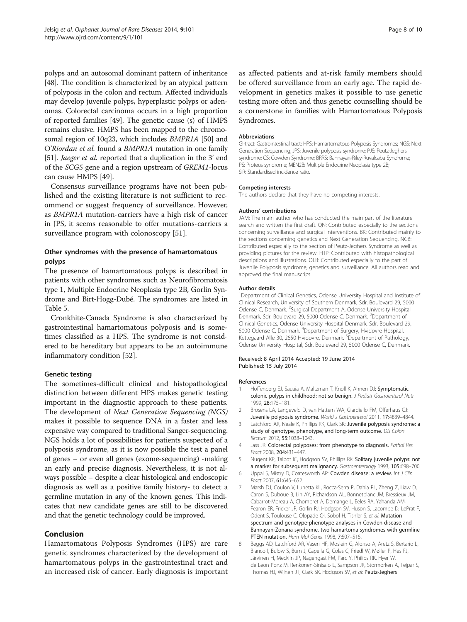<span id="page-7-0"></span>polyps and an autosomal dominant pattern of inheritance [[48](#page-9-0)]. The condition is characterized by an atypical pattern of polyposis in the colon and rectum. Affected individuals may develop juvenile polyps, hyperplastic polyps or adenomas. Colorectal carcinoma occurs in a high proportion of reported families [\[49\]](#page-9-0). The genetic cause (s) of HMPS remains elusive. HMPS has been mapped to the chromosomal region of 10q23, which includes BMPR1A [[50](#page-9-0)] and O'Riordan et al. found a BMPR1A mutation in one family [[51](#page-9-0)]. *Jaeger et al.* reported that a duplication in the 3' end of the SCG5 gene and a region upstream of GREM1-locus can cause HMPS [\[49\]](#page-9-0).

Consensus surveillance programs have not been published and the existing literature is not sufficient to recommend or suggest frequency of surveillance. However, as BMPR1A mutation-carriers have a high risk of cancer in JPS, it seems reasonable to offer mutations-carriers a surveillance program with colonoscopy [\[51](#page-9-0)].

# Other syndromes with the presence of hamartomatous polyps

The presence of hamartomatous polyps is described in patients with other syndromes such as Neurofibromatosis type 1, Multiple Endocrine Neoplasia type 2B, Gorlin Syndrome and Birt-Hogg-Dubé. The syndromes are listed in Table [5.](#page-6-0)

Cronkhite-Canada Syndrome is also characterized by gastrointestinal hamartomatous polyposis and is sometimes classified as a HPS. The syndrome is not considered to be hereditary but appears to be an autoimmune inflammatory condition [[52](#page-9-0)].

# Genetic testing

The sometimes-difficult clinical and histopathological distinction between different HPS makes genetic testing important in the diagnostic approach to these patients. The development of Next Generation Sequencing (NGS) makes it possible to sequence DNA in a faster and less expensive way compared to traditional Sanger-sequencing. NGS holds a lot of possibilities for patients suspected of a polyposis syndrome, as it is now possible the test a panel of genes – or even all genes (exome-sequencing) -making an early and precise diagnosis. Nevertheless, it is not always possible – despite a clear histological and endoscopic diagnosis as well as a positive family history- to detect a germline mutation in any of the known genes. This indicates that new candidate genes are still to be discovered and that the genetic technology could be improved.

# Conclusion

Hamartomatous Polyposis Syndromes (HPS) are rare genetic syndromes characterized by the development of hamartomatous polyps in the gastrointestinal tract and an increased risk of cancer. Early diagnosis is important

as affected patients and at-risk family members should be offered surveillance from an early age. The rapid development in genetics makes it possible to use genetic testing more often and thus genetic counselling should be a cornerstone in families with Hamartomatous Polyposis Syndromes.

#### Abbreviations

GI-tract: Gastrointestinal tract; HPS: Hamartomatous Polyposis Syndromes; NGS: Next Generation Sequencing; JPS: Juvenile polyposis syndrome; PJS: Peutz-Jeghers syndrome; CS: Cowden Syndrome; BRRS: Bannayan-Riley-Ruvalcaba Syndrome; PS: Proteus syndrome; MEN2B: Multiple Endocrine Neoplasia type 2B; SIR: Standardised incidence ratio.

#### Competing interests

The authors declare that they have no competing interests.

#### Authors' contributions

JAM: The main author who has conducted the main part of the literature search and written the first draft. QN: Contributed especially to the sections concerning surveillance and surgical interventions. BK: Contributed mainly to the sections concerning genetics and Next Generation Sequencing. NCB: Contributed especially to the section of Peutz-Jeghers Syndrome as well as providing pictures for the review. HTP: Contributed with histopathological descriptions and illustrations. OLB: Contributed especially to the part of Juvenile Polyposis syndrome, genetics and surveillance. All authors read and approved the final manuscript.

#### Author details

<sup>1</sup>Department of Clinical Genetics, Odense University Hospital and Institute of Clinical Research, University of Southern Denmark, Sdr. Boulevard 29, 5000 Odense C, Denmark. <sup>2</sup>Surgical Department A, Odense University Hospital Denmark, Sdr. Boulevard 29, 5000 Odense C, Denmark. <sup>3</sup>Department of Clinical Genetics, Odense University Hospital Denmark, Sdr. Boulevard 29, 5000 Odense C, Denmark. <sup>4</sup>Department of Surgery, Hvidovre Hospital Kettegaard Alle 30, 2650 Hvidovre, Denmark. <sup>5</sup>Department of Pathology Odense University Hospital, Sdr. Boulevard 29, 5000 Odense C, Denmark.

#### Received: 8 April 2014 Accepted: 19 June 2014 Published: 15 July 2014

#### References

- Hoffenberg EJ, Sauaia A, Maltzman T, Knoll K, Ahnen DJ: Symptomatic colonic polyps in childhood: not so benign. J Pediatr Gastroenterol Nutr 1999, 28:175–181.
- 2. Brosens LA, Langeveld D, van Hattem WA, Giardiello FM, Offerhaus GJ: Juvenile polyposis syndrome. World J Gastroenterol 2011, 17:4839–4844.
- 3. Latchford AR, Neale K, Phillips RK, Clark SK: Juvenile polyposis syndrome: a study of genotype, phenotype, and long-term outcome. Dis Colon Rectum 2012, 55:1038–1043.
- 4. Jass JR: Colorectal polyposes: from phenotype to diagnosis. Pathol Res Pract 2008, 204:431–447.
- Nugent KP, Talbot IC, Hodgson SV, Phillips RK: Solitary juvenile polyps: not a marker for subsequent malignancy. Gastroenterology 1993, 105:698–700.
- 6. Uppal S, Mistry D, Coatesworth AP: Cowden disease: a review. Int J Clin Pract 2007, 61:645–652.
- 7. Marsh DJ, Coulon V, Lunetta KL, Rocca-Serra P, Dahia PL, Zheng Z, Liaw D, Caron S, Duboue B, Lin AY, Richardson AL, Bonnetblanc JM, Bressieux JM, Cabarrot-Moreau A, Chompret A, Demange L, Eeles RA, Yahanda AM, Fearon ER, Fricker JP, Gorlin RJ, Hodgson SV, Huson S, Lacombe D, LePrat F, Odent S, Toulouse C, Olopade OI, Sobol H, Tishler S, et al: Mutation spectrum and genotype-phenotype analyses in Cowden disease and Bannayan-Zonana syndrome, two hamartoma syndromes with germline PTEN mutation. Hum Mol Genet 1998, 7:507-515.
- 8. Beggs AD, Latchford AR, Vasen HF, Moslein G, Alonso A, Aretz S, Bertario L, Blanco I, Bulow S, Burn J, Capella G, Colas C, Friedl W, Møller P, Hes FJ, Järvinen H, Mecklin JP, Nagengast FM, Parc Y, Philips RK, Hyer W, de Leon Ponz M, Renkonen-Sinisalo L, Sampson JR, Stormorken A, Tejpar S, Thomas HJ, Wijnen JT, Clark SK, Hodgson SV, et al: Peutz-Jeghers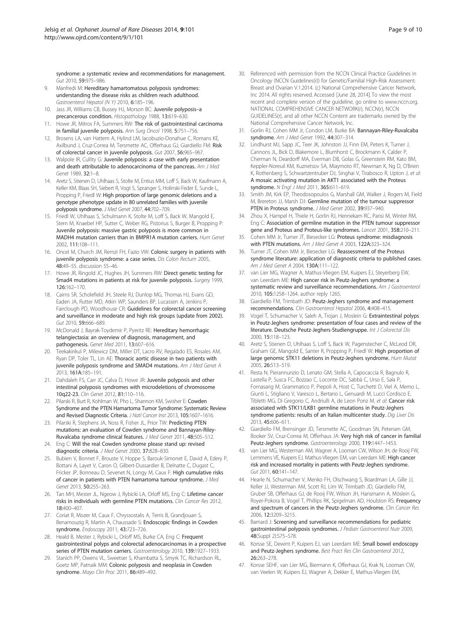<span id="page-8-0"></span>syndrome: a systematic review and recommendations for management. Gut 2010, 59:975–986.

- 9. Manfredi M: Hereditary hamartomatous polyposis syndromes: understanding the disease risks as children reach adulthood. Gastroenterol Hepatol (N Y) 2010, 6:185–196.
- 10. Jass JR, Williams CB, Bussey HJ, Morson BC: Juvenile polyposis-a precancerous condition. Histopathology 1988, 13:619–630.
- 11. Howe JR, Mitros FA, Summers RW: The risk of gastrointestinal carcinoma in familial juvenile polyposis. Ann Surg Oncol 1998, 5:751–756.
- 12. Brosens LA, van Hattem A, Hylind LM, Iacobuzio-Donahue C, Romans KE, Axilbund J, Cruz-Correa M, Tersmette AC, Offerhaus GJ, Giardiello FM: Risk of colorectal cancer in juvenile polyposis. Gut 2007, 56:965–967.
- 13. Walpole IR, Cullity G: Juvenile polyposis: a case with early presentation and death attributable to adenocarcinoma of the pancreas. Am J Med Genet 1989, 32:1–8.
- 14. Aretz S, Stienen D, Uhlhaas S, Stolte M, Entius MM, Loff S, Back W, Kaufmann A, Keller KM, Blaas SH, Siebert R, Vogt S, Spranger S, Holinski-Feder E, Sunde L, Propping P, Friedl W: High proportion of large genomic deletions and a genotype phenotype update in 80 unrelated families with juvenile polyposis syndrome. J Med Genet 2007, 44:702–709.
- 15. Friedl W, Uhlhaas S, Schulmann K, Stolte M, Loff S, Back W, Mangold E, Stern M, Knaebel HP, Sutter C, Weber RG, Pistorius S, Burger B, Propping P: Juvenile polyposis: massive gastric polyposis is more common in MADH4 mutation carriers than in BMPR1A mutation carriers. Hum Genet 2002, 111:108–111.
- 16. Oncel M, Church JM, Remzi FH, Fazio VW: Colonic surgery in patients with juvenile polyposis syndrome: a case series. Dis Colon Rectum 2005, 48:49–55. discussion 55–46.
- 17. Howe JR, Ringold JC, Hughes JH, Summers RW: Direct genetic testing for Smad4 mutations in patients at risk for juvenile polyposis. Surgery 1999, 126:162–170.
- 18. Cairns SR, Scholefield JH, Steele RJ, Dunlop MG, Thomas HJ, Evans GD, Eaden JA, Rutter MD, Atkin WP, Saunders BP, Lucassen A, Jenkins P, Fairclough PD, Woodhouse CR: Guidelines for colorectal cancer screening and surveillance in moderate and high risk groups (update from 2002). Gut 2010, 59:666-689.
- 19. McDonald J, Bayrak-Toydemir P, Pyeritz RE: Hereditary hemorrhagic telangiectasia: an overview of diagnosis, management, and pathogenesis. Genet Med 2011, 13:607–616.
- 20. Teekakirikul P, Milewicz DM, Miller DT, Lacro RV, Regalado ES, Rosales AM, Ryan DP, Toler TL, Lin AE: Thoracic aortic disease in two patients with juvenile polyposis syndrome and SMAD4 mutations. Am J Med Genet A 2013, 161A:185–191.
- 21. Dahdaleh FS, Carr JC, Calva D, Howe JR: Juvenile polyposis and other intestinal polyposis syndromes with microdeletions of chromosome 10q22-23. Clin Genet 2012, 81:110–116.
- 22. Pilarski R, Burt R, Kohlman W, Pho L, Shannon KM, Swisher E: Cowden Syndrome and the PTEN Hamartoma Tumor Syndrome: Systematic Review and Revised Diagnostic Criteria. J Natl Cancer Inst 2013, 105:1607–1616.
- 23. Pilarski R, Stephens JA, Noss R, Fisher JL, Prior TW: Predicting PTEN mutations: an evaluation of Cowden syndrome and Bannayan-Riley-Ruvalcaba syndrome clinical features. J Med Genet 2011, 48:505–512.
- 24. Eng C: Will the real Cowden syndrome please stand up: revised diagnostic criteria. J Med Genet 2000, 37:828–830.
- 25. Bubien V, Bonnet F, Brouste V, Hoppe S, Barouk-Simonet E, David A, Edery P, Bottani A, Layet V, Caron O, Gilbert-Dussardier B, Delnatte C, Dugast C, Fricker JP, Bonneau D, Sevenet N, Longy M, Caux F: High cumulative risks of cancer in patients with PTEN hamartoma tumour syndrome. J Med Genet 2013, 50:255–263.
- 26. Tan MH, Mester JL, Ngeow J, Rybicki LA, Orloff MS, Eng C: Lifetime cancer risks in individuals with germline PTEN mutations. Clin Cancer Res 2012, 18:400–407.
- 27. Coriat R, Mozer M, Caux F, Chryssostalis A, Terris B, Grandjouan S, Benamouzig R, Martin A, Chaussade S: Endoscopic findings in Cowden syndrome. Endoscopy 2011, 43:723-726.
- 28. Heald B, Mester J, Rybicki L, Orloff MS, Burke CA, Eng C: Frequent gastrointestinal polyps and colorectal adenocarcinomas in a prospective series of PTEN mutation carriers. Gastroenterology 2010, 139:1927-1933.
- 29. Stanich PP, Owens VL, Sweetser S, Khambatta S, Smyrk TC, Richardson RL, Goetz MP, Patnaik MM: Colonic polyposis and neoplasia in Cowden syndrome. Mayo Clin Proc 2011, 86:489-492.
- 30. Referenced with permission from the NCCN Clinical Practice Guidelines in Oncology (NCCN Guidelines(r)) for Genetic/Familial High-Risk Assessment: Breast and Ovarian V.1.2014. (c) National Comprehensive Cancer Network, Inc 2014. All rights reserved. Accessed [June 28, 2014]. To view the most recent and complete version of the guideline, go online to [www.nccn.org](http://www.nccn.org). NATIONAL COMPREHENSIVE CANCER NETWORK(r), NCCN(r), NCCN GUIDELINES(r), and all other NCCN Content are trademarks owned by the National Comprehensive Cancer Network, Inc.
- 31. Gorlin RJ, Cohen MM Jr, Condon LM, Burke BA: Bannayan-Riley-Ruvalcaba syndrome. Am J Med Genet 1992, 44:307-314.
- 32. Lindhurst MJ, Sapp JC, Teer JK, Johnston JJ, Finn EM, Peters K, Turner J, Cannons JL, Bick D, Blakemore L, Blumhorst C, Brockmann K, Calder P, Cherman N, Deardorff MA, Everman DB, Golas G, Greenstein RM, Kato BM, Keppler-Noreuil KM, Kuznetsov SA, Miaymoto RT, Newman K, Ng D, O'Brien K, Rothenberg S, Schwartzentruber DJ, Singhai V, Tirabosco R, Upton J, et al: A mosaic activating mutation in AKT1 associated with the Proteus syndrome. N Fnal J Med 2011, 365:611-619.
- 33. Smith JM, Kirk EP, Theodosopoulos G, Marshall GM, Walker J, Rogers M, Field M, Brereton JJ, Marsh DJ: Germline mutation of the tumour suppressor PTEN in Proteus syndrome. J Med Genet 2002, 39:937-940.
- 34. Zhou X, Hampel H, Thiele H, Gorlin RJ, Hennekam RC, Parisi M, Winter RM, Eng C: Association of germline mutation in the PTEN tumour suppressor gene and Proteus and Proteus-like syndromes. Lancet 2001, 358:210–211.
- 35. Cohen MM Jr, Turner JT, Biesecker LG: Proteus syndrome: misdiagnosis with PTEN mutations. Am J Med Genet A 2003, 122A:323-324.
- 36. Turner JT, Cohen MM Jr, Biesecker LG: Reassessment of the Proteus syndrome literature: application of diagnostic criteria to published cases. Am J Med Genet A 2004, 130A:111–122.
- 37. van Lier MG, Wagner A, Mathus-Vliegen EM, Kuipers EJ, Steyerberg EW, van Leerdam ME: High cancer risk in Peutz-Jeghers syndrome: a systematic review and surveillance recommendations. Am J Gastroenterol 2010, 105:1258-1264. author reply 1265.
- 38. Giardiello FM, Trimbath JD: Peutz-Jeghers syndrome and management recommendations. Clin Gastroenterol Hepatol 2006, 4:408–415.
- 39. Vogel T, Schumacher V, Saleh A, Trojan J, Moslein G: Extraintestinal polyps in Peutz-Jeghers syndrome: presentation of four cases and review of the literature. Deutsche Peutz-Jeghers-Studiengruppe. Int J Colorectal Dis 2000, 15:118–123.
- 40. Aretz S, Stienen D, Uhlhaas S, Loff S, Back W, Pagenstecher C, McLeod DR, Graham GE, Mangold E, Santer R, Propping P, Friedl W: High proportion of large genomic STK11 deletions in Peutz-Jeghers syndrome. Hum Mutat 2005, 26:513–519.
- 41. Resta N, Pierannunzio D, Lenato GM, Stella A, Capocaccia R, Bagnulo R, Lastella P, Susca FC, Bozzao C, Loconte DC, Sabbà C, Urso E, Sala P, Fornasarig M, Grammatico P, Piepoli A, Host C, Turchetti D, Viel A, Memo L, Giunti L, Stigliano V, Varesco L, Bertario L, Genuardi M, Lucci Cordisco E, Tibletti MG, Di Gregorio C, Andriulli A, de Leon Ponz M, et al: Cancer risk associated with STK11/LKB1 germline mutations in Peutz-Jeghers syndrome patients: results of an Italian multicenter study. Dig Liver Dis 2013, 45:606–611.
- 42. Giardiello FM, Brensinger JD, Tersmette AC, Goodman SN, Petersen GM, Booker SV, Cruz-Correa M, Offerhaus JA: Very high risk of cancer in familial Peutz-Jeghers syndrome. Gastroenterology 2000, 119:1447–1453.
- 43. van Lier MG, Westerman AM, Wagner A, Looman CW, Wilson JH, de Rooij FW, Lemmens VE, Kuipers EJ, Mathus-Vliegen EM, van Leerdam ME: High cancer risk and increased mortality in patients with Peutz-Jeghers syndrome. Gut 2011, 60:141–147.
- 44. Hearle N, Schumacher V, Menko FH, Olschwang S, Boardman LA, Gille JJ, Keller JJ, Westerman AM, Scott RJ, Lim W, Trimbath JD, Giardiello FM, Gruber SB, Offerhaus GJ, de Rooij FW, Wilson JH, Hansmann A, Möslein G, Royer-Pokora B, Vogel T, Phillips RK, Spigelman AD, Houlston RS: Frequency and spectrum of cancers in the Peutz-Jeghers syndrome. Clin Cancer Res 2006, 12:3209–3215.
- 45. Barnard J: Screening and surveillance recommendations for pediatric gastrointestinal polyposis syndromes. J Pediatr Gastroenterol Nutr 2009, 48(Suppl 2):S75–S78.
- 46. Korsse SE, Dewint P, Kuipers EJ, van Leerdam ME: Small bowel endoscopy and Peutz-Jeghers syndrome. Best Pract Res Clin Gastroenterol 2012, 26:263–278.
- 47. Korsse SEHF, van Lier MG, Biermann K, Offerhaus GJ, Krak N, Looman CW, van Veelen W, Kuipers EJ, Wagner A, Dekker E, Mathus-Vliegen EM,